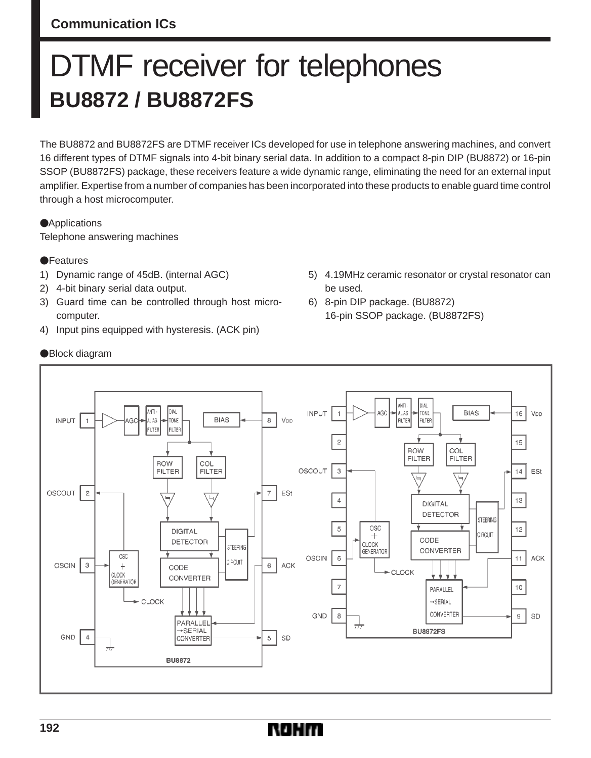# **Communication ICs**

# DTMF receiver for telephones **BU8872 / BU8872FS**

The BU8872 and BU8872FS are DTMF receiver ICs developed for use in telephone answering machines, and convert 16 different types of DTMF signals into 4-bit binary serial data. In addition to a compact 8-pin DIP (BU8872) or 16-pin SSOP (BU8872FS) package, these receivers feature a wide dynamic range, eliminating the need for an external input amplifier. Expertise from a number of companies has been incorporated into these products to enable guard time control through a host microcomputer.

**Applications** Telephone answering machines

#### **OF**eatures

- 1) Dynamic range of 45dB. (internal AGC)
- 2) 4-bit binary serial data output.
- 3) Guard time can be controlled through host microcomputer.
- 4) Input pins equipped with hysteresis. (ACK pin)
- 5) 4.19MHz ceramic resonator or crystal resonator can be used.
- 6) 8-pin DIP package. (BU8872) 16-pin SSOP package. (BU8872FS)



#### Block diagram

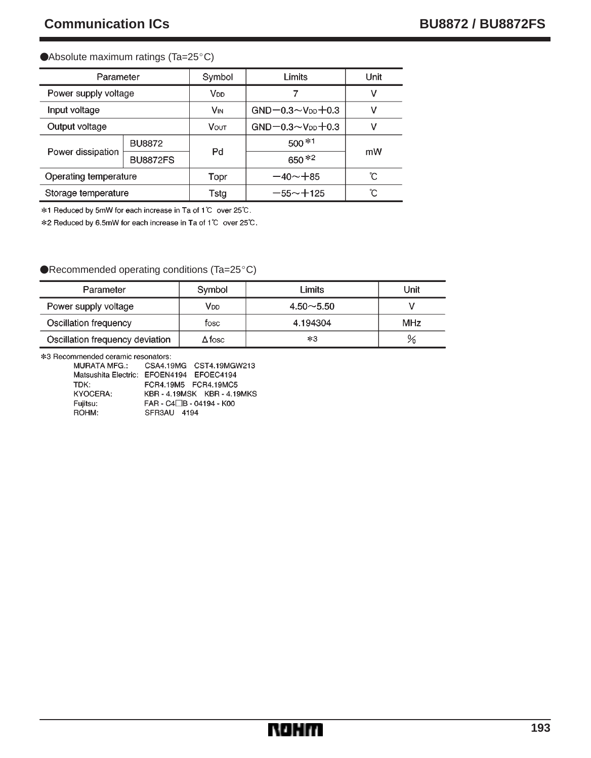#### ● Absolute maximum ratings (Ta=25°C)

| Parameter             |                 | Symbol                | Limits                        | Unit |
|-----------------------|-----------------|-----------------------|-------------------------------|------|
| Power supply voltage  |                 | V <sub>DD</sub>       |                               | ٧    |
| Input voltage         |                 | <b>V<sub>IN</sub></b> | $GND - 0.3 - VDD + 0.3$       | ν    |
| Output voltage        |                 | <b>VOUT</b>           | $GND - 0.3 \sim V_{DD} + 0.3$ | ν    |
| Power dissipation     | <b>BU8872</b>   |                       | $500*1$                       |      |
|                       | <b>BU8872FS</b> | Pd                    | 650 *2                        | mW   |
| Operating temperature |                 | Topr                  | $-40 - +85$                   | ົໂ   |
| Storage temperature   |                 | Tsta                  | $-55 - +125$                  | ົົ   |

\*1 Reduced by 5mW for each increase in Ta of 1℃ over 25℃.

\*2 Reduced by 6.5mW for each increase in Ta of 1℃ over 25℃.

#### ●Recommended operating conditions (Ta=25°C)

| Parameter                       | Symbol | Limits        | Unit |
|---------------------------------|--------|---------------|------|
| Power supply voltage            | VDD    | $4.50 - 5.50$ |      |
| Oscillation frequency           | fosc   | 4.194304      | MHz  |
| Oscillation frequency deviation | ∆fosc  | $*3$          | %    |

\*3 Recommended ceramic resonators:

| <b>MURATA MFG.:</b> | CSA4.19MG CST4.19MGW213                  |
|---------------------|------------------------------------------|
|                     | Matsushita Electric: EFOEN4194 EFOEC4194 |
| TDK:                | FCR4.19M5 FCR4.19MC5                     |
| KYOCERA:            | KBR-4.19MSK KBR-4.19MKS                  |
| Fujitsu:            | FAR - C4□B - 04194 - K00                 |
| ROHM:               | SFR3AU 4194                              |

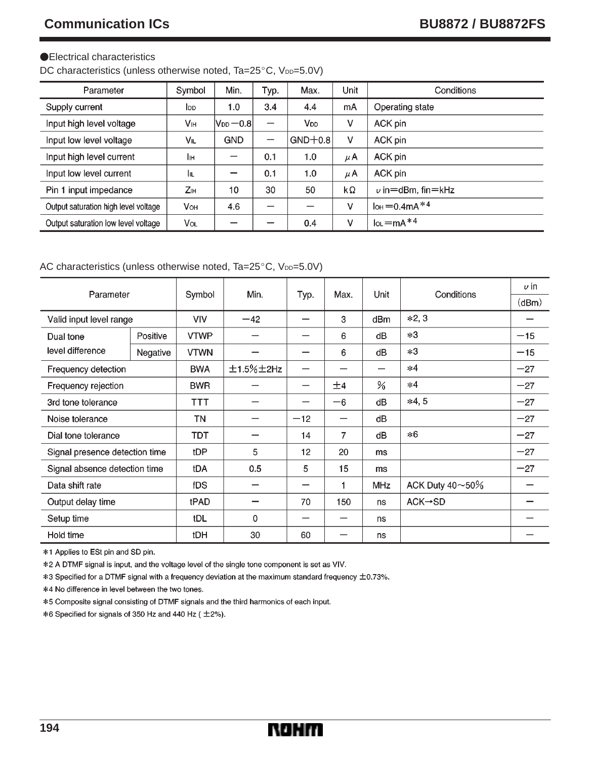#### Electrical characteristics

DC characteristics (unless otherwise noted, Ta=25°C, VDD=5.0V)

| Parameter                            | Symbol      | Min.                                  | Typ. | Max.      | Unit | Conditions                     |
|--------------------------------------|-------------|---------------------------------------|------|-----------|------|--------------------------------|
| Supply current                       | <b>l</b> op | 1.0                                   | 3.4  | 4.4       | mA   | Operating state                |
| Input high level voltage             | Vн          | $ {\mathsf V}_{\mathsf{DD}}\!=\!0.8 $ | —    | Vod       | ٧    | ACK pin                        |
| Input low level voltage              | VIL         | <b>GND</b>                            | —    | $GND+0.8$ | ٧    | ACK pin                        |
| Input high level current             | Ιн          |                                       | 0.1  | 1.0       | μA   | ACK pin                        |
| Input low level current              | Iщ          |                                       | 0.1  | 1.0       | μA   | ACK pin                        |
| Pin 1 input impedance                | Zн          | 10                                    | 30   | 50        | kΩ   | $\nu$ in = dBm. fin = kHz      |
| Output saturation high level voltage | <b>V</b> он | 4.6                                   | –    |           | ٧    | $I_{OH} = 0.4$ mA $*4$         |
| Output saturation low level voltage  | Vol         |                                       |      | 0.4       | ٧    | $I_{OL}$ = mA $*$ <sup>4</sup> |

#### AC characteristics (unless otherwise noted, Ta=25°C, VDD=5.0V)

| Parameter                      |          | Symbol      | Min.         | Typ.  | Max. | Unit          | Conditions                  | $\nu$ in |
|--------------------------------|----------|-------------|--------------|-------|------|---------------|-----------------------------|----------|
|                                |          |             |              |       |      |               |                             | (dBm)    |
| Valid input level range        |          | VIV         | $-42$        |       | 3    | dBm           | $*2,3$                      |          |
| Dual tone                      | Positive | <b>VTWP</b> |              |       | 6    | dB            | $*3$                        | $-15$    |
| level difference               | Negative | <b>VTWN</b> |              |       | 6    | dB            | $*3$                        | $-15$    |
| Frequency detection            |          | <b>BWA</b>  | $±1.5\%±2Hz$ |       |      |               | $*4$                        | $-27$    |
| Frequency rejection            |          | <b>BWR</b>  |              |       | ±4   | $\frac{9}{6}$ | $*4$                        | $-27$    |
| 3rd tone tolerance             |          | TTT         |              |       | $-6$ | dB            | $*4,5$                      | $-27$    |
| Noise tolerance                |          | ΤN          |              | $-12$ |      | dB            |                             | $-27$    |
| Dial tone tolerance            |          | TDT         |              | 14    | 7    | dB            | $*6$                        | $-27$    |
| Signal presence detection time |          | tDP         | 5            | 12    | 20   | ms            |                             | $-27$    |
| Signal absence detection time  |          | tDA         | 0.5          | 5     | 15   | ms            |                             | $-27$    |
| Data shift rate                |          | fDS         |              |       |      | <b>MHz</b>    | ACK Duty $40\nthicksim50\%$ |          |
| Output delay time              |          | tPAD        |              | 70    | 150  | ns            | $ACK \rightarrow SD$        |          |
| Setup time                     |          | tDL         | 0            |       |      | ns            |                             |          |
| Hold time                      |          | tDH         | 30           | 60    |      | ns            |                             |          |

\*1 Applies to ESt pin and SD pin.

\*2 A DTMF signal is input, and the voltage level of the single tone component is set as VIV.

\*3 Specified for a DTMF signal with a frequency deviation at the maximum standard frequency  $\pm$ 0.73%.

\*4 No difference in level between the two tones.

\*5 Composite signal consisting of DTMF signals and the third harmonics of each input.

\*6 Specified for signals of 350 Hz and 440 Hz (±2%).

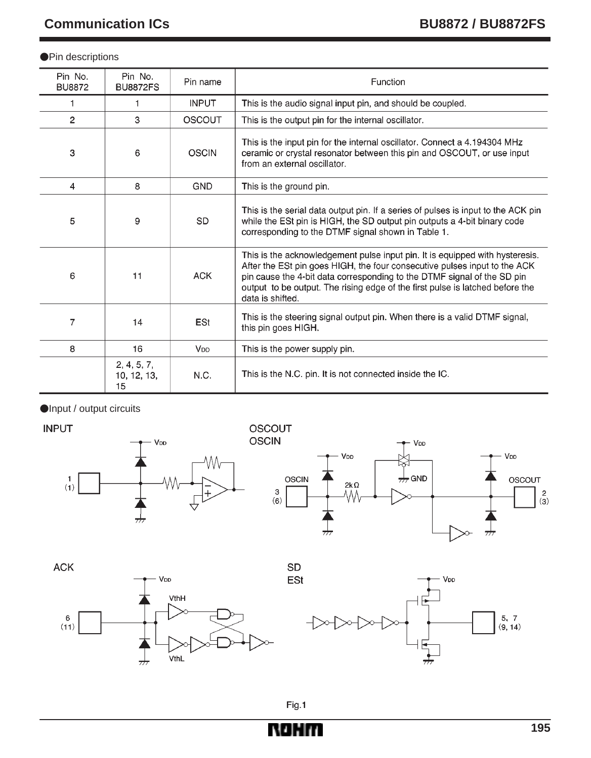#### **•**Pin descriptions

| Pin No.<br><b>BU8872</b> | Pin No.<br><b>BU8872FS</b>       | Pin name        | Function                                                                                                                                                                                                                                                                                                                                  |  |
|--------------------------|----------------------------------|-----------------|-------------------------------------------------------------------------------------------------------------------------------------------------------------------------------------------------------------------------------------------------------------------------------------------------------------------------------------------|--|
| 1                        | 1                                | <b>INPUT</b>    | This is the audio signal input pin, and should be coupled.                                                                                                                                                                                                                                                                                |  |
| $\overline{2}$           | 3                                | <b>OSCOUT</b>   | This is the output pin for the internal oscillator.                                                                                                                                                                                                                                                                                       |  |
| 3                        | 6                                | <b>OSCIN</b>    | This is the input pin for the internal oscillator. Connect a 4.194304 MHz<br>ceramic or crystal resonator between this pin and OSCOUT, or use input<br>from an external oscillator.                                                                                                                                                       |  |
| 4                        | 8                                | <b>GND</b>      | This is the ground pin.                                                                                                                                                                                                                                                                                                                   |  |
| 5                        | 9                                | <b>SD</b>       | This is the serial data output pin. If a series of pulses is input to the ACK pin<br>while the ESt pin is HIGH, the SD output pin outputs a 4-bit binary code<br>corresponding to the DTMF signal shown in Table 1.                                                                                                                       |  |
| 6                        | 11                               | <b>ACK</b>      | This is the acknowledgement pulse input pin. It is equipped with hysteresis.<br>After the ESt pin goes HIGH, the four consecutive pulses input to the ACK<br>pin cause the 4-bit data corresponding to the DTMF signal of the SD pin<br>output to be output. The rising edge of the first pulse is latched before the<br>data is shifted. |  |
| 7                        | 14                               | <b>ESt</b>      | This is the steering signal output pin. When there is a valid DTMF signal,<br>this pin goes HIGH.                                                                                                                                                                                                                                         |  |
| 8                        | 16                               | V <sub>DD</sub> | This is the power supply pin.                                                                                                                                                                                                                                                                                                             |  |
|                          | 2, 4, 5, 7,<br>10, 12, 13,<br>15 | N.C.            | This is the N.C. pin. It is not connected inside the IC.                                                                                                                                                                                                                                                                                  |  |

Input / output circuits

**INPUT** 





**ACK** 





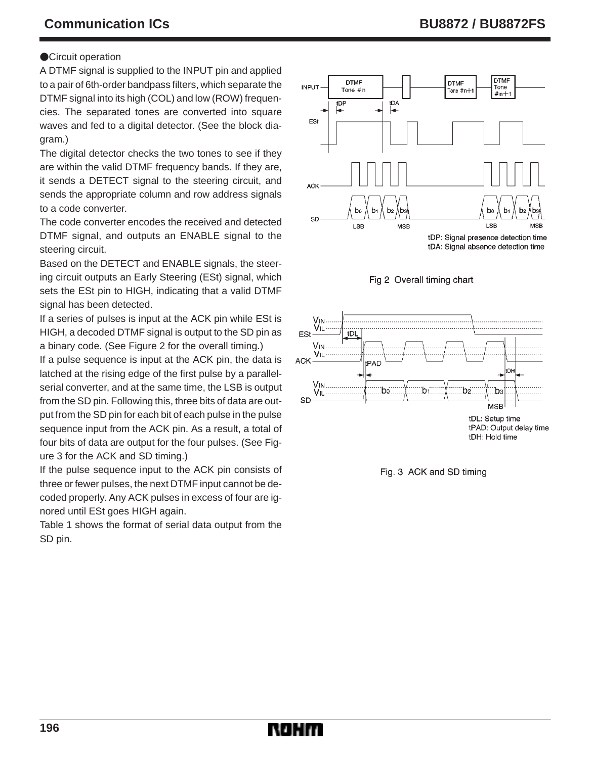## **OCircuit operation**

A DTMF signal is supplied to the INPUT pin and applied to a pair of 6th-order bandpass filters, which separate the DTMF signal into its high (COL) and low (ROW) frequencies. The separated tones are converted into square waves and fed to a digital detector. (See the block diagram.)

The digital detector checks the two tones to see if they are within the valid DTMF frequency bands. If they are, it sends a DETECT signal to the steering circuit, and sends the appropriate column and row address signals to a code converter.

The code converter encodes the received and detected DTMF signal, and outputs an ENABLE signal to the steering circuit.

Based on the DETECT and ENABLE signals, the steering circuit outputs an Early Steering (ESt) signal, which sets the ESt pin to HIGH, indicating that a valid DTMF signal has been detected.

If a series of pulses is input at the ACK pin while ESt is HIGH, a decoded DTMF signal is output to the SD pin as a binary code. (See Figure 2 for the overall timing.)

If a pulse sequence is input at the ACK pin, the data is latched at the rising edge of the first pulse by a parallelserial converter, and at the same time, the LSB is output from the SD pin. Following this, three bits of data are output from the SD pin for each bit of each pulse in the pulse sequence input from the ACK pin. As a result, a total of four bits of data are output for the four pulses. (See Figure 3 for the ACK and SD timing.)

If the pulse sequence input to the ACK pin consists of three or fewer pulses, the next DTMF input cannot be decoded properly. Any ACK pulses in excess of four are ignored until ESt goes HIGH again.

Table 1 shows the format of serial data output from the SD pin.









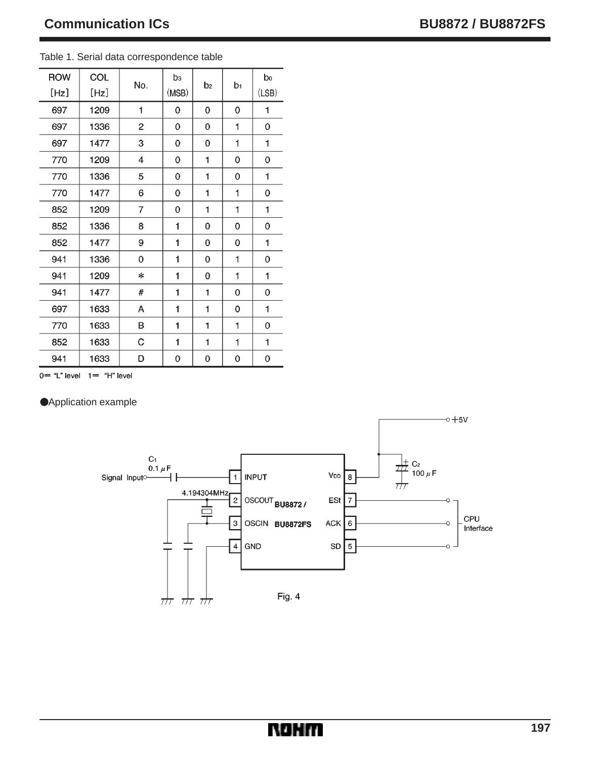| <b>ROW</b><br>[Hz] | COL<br>[Hz] | No.            | bз<br>(MSB) | b <sub>2</sub> | b1 | bo<br>(LSB) |
|--------------------|-------------|----------------|-------------|----------------|----|-------------|
| 697                | 1209        | 1              | 0           | 0              | 0  | 1           |
| 697                | 1336        | $\overline{2}$ | 0           | 0              | 1  | 0           |
| 697                | 1477        | 3              | 0           | 0              | 1  | 1           |
| 770                | 1209        | 4              | 0           | 1              | 0  | 0           |
| 770                | 1336        | 5              | 0           | 1              | 0  | 1           |
| 770                | 1477        | 6              | 0           | 1              | 1  | 0           |
| 852                | 1209        | 7              | 0           | 1              | 1  | 1           |
| 852                | 1336        | 8              | 1           | 0              | 0  | 0           |
| 852                | 1477        | 9              | 1           | 0              | 0  | 1           |
| 941                | 1336        | 0              | 1           | 0              | 1  | 0           |
| 941                | 1209        | $\ast$         | 1           | 0              | 1  | 1           |
| 941                | 1477        | #              | 1           | 1              | 0  | 0           |
| 697                | 1633        | Α              | 1           | 1              | 0  | 1           |
| 770                | 1633        | B              | 1           | 1              | 1  | 0           |
| 852                | 1633        | С              | 1           | 1              | 1  | 1           |
| 941                | 1633        | D              | 0           | 0              | 0  | 0           |

Table 1. Serial data correspondence table

 $0 = "L"$  level  $1 = "H"$  level

Application example

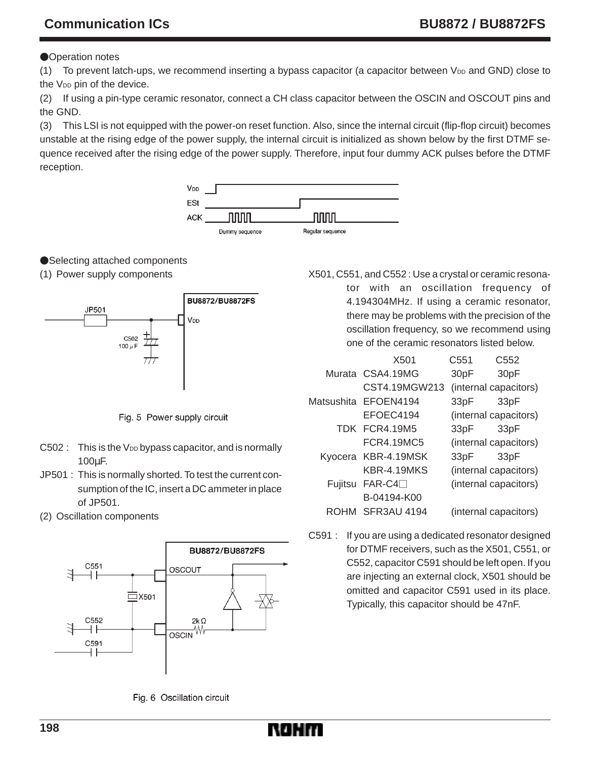# **Communication ICs 6.6 Communication ICs** 6.6 Communication ICs 6.6 Communication ICs

### **Operation notes**

(1) To prevent latch-ups, we recommend inserting a bypass capacitor (a capacitor between  $V_{DD}$  and GND) close to the V<sub>DD</sub> pin of the device.

(2) If using a pin-type ceramic resonator, connect a CH class capacitor between the OSCIN and OSCOUT pins and the GND.

(3) This LSI is not equipped with the power-on reset function. Also, since the internal circuit (flip-flop circuit) becomes unstable at the rising edge of the power supply, the internal circuit is initialized as shown below by the first DTMF sequence received after the rising edge of the power supply. Therefore, input four dummy ACK pulses before the DTMF reception.



## ●Selecting attached components

(1) Power supply components



Fig. 5 Power supply circuit

- $C502$  : This is the V<sub>DD</sub> bypass capacitor, and is normally 100µF.
- JP501 : This is normally shorted. To test the current consumption of the IC, insert a DC ammeter in place of JP501.
- (2) Oscillation components



Fig. 6 Oscillation circuit

X501, C551, and C552 : Use a crystal or ceramic resonator with an oscillation frequency of 4.194304MHz. If using a ceramic resonator, there may be problems with the precision of the oscillation frequency, so we recommend using one of the ceramic resonators listed below.

|         | X501                 | C <sub>551</sub> | C552                  |
|---------|----------------------|------------------|-----------------------|
|         | Murata CSA4.19MG     | 30 <sub>pF</sub> | 30 <sub>pF</sub>      |
|         | CST4.19MGW213        |                  | (internal capacitors) |
|         | Matsushita EFOEN4194 | 33pF             | 33 <sub>pF</sub>      |
|         | FFOFC4194            |                  | (internal capacitors) |
|         | TDK FCR4.19M5        | 33pF             | 33 <sub>pF</sub>      |
|         | FCR4.19MC5           |                  | (internal capacitors) |
|         | Kyocera KBR-4.19MSK  | 33pF             | 33 <sub>pF</sub>      |
|         | KBR-4.19MKS          |                  | (internal capacitors) |
| Fujitsu | $FAR-C4$             |                  | (internal capacitors) |
|         | B-04194-K00          |                  |                       |
| ROHM    | <b>SFR3AU 4194</b>   |                  | (internal capacitors) |

C591 : If you are using a dedicated resonator designed for DTMF receivers, such as the X501, C551, or C552, capacitor C591 should be left open. If you are injecting an external clock, X501 should be omitted and capacitor C591 used in its place. Typically, this capacitor should be 47nF.

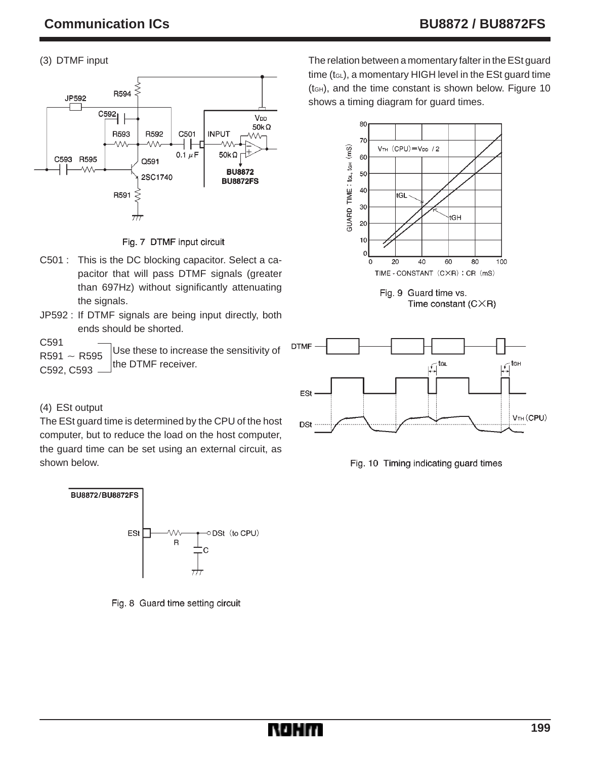## (3) DTMF input





- C501 : This is the DC blocking capacitor. Select a capacitor that will pass DTMF signals (greater than 697Hz) without significantly attenuating the signals.
- JP592 : If DTMF signals are being input directly, both ends should be shorted.
- Use these to increase the sensitivity of the DTMF receiver. C591  $R591 \sim R595$ C592, C593

## (4) ESt output

The ESt guard time is determined by the CPU of the host computer, but to reduce the load on the host computer, the guard time can be set using an external circuit, as shown below.



Fig. 8 Guard time setting circuit

The relation between a momentary falter in the ESt guard time  $(t_{GL})$ , a momentary HIGH level in the ESt quard time (tGH), and the time constant is shown below. Figure 10 shows a timing diagram for quard times.



Fig. 9 Guard time vs. Time constant  $(C \times R)$ 



Fig. 10 Timing indicating guard times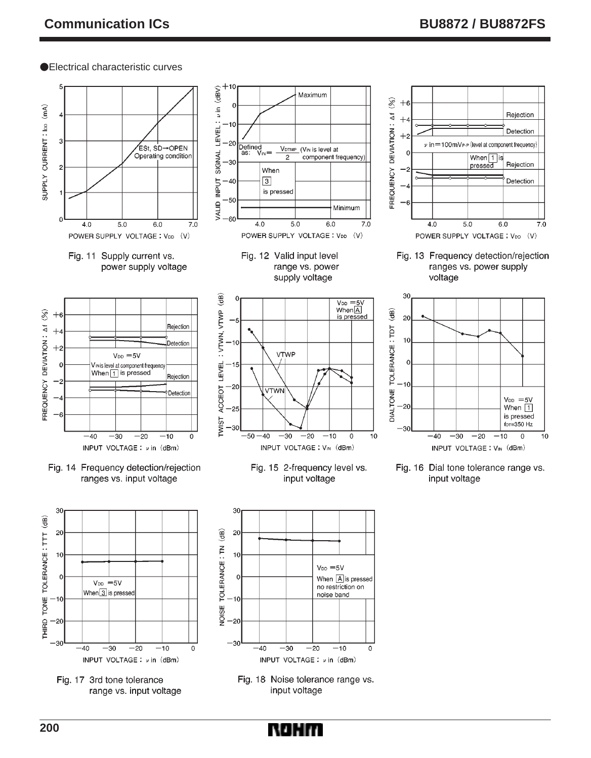#### Electrical characteristic curves